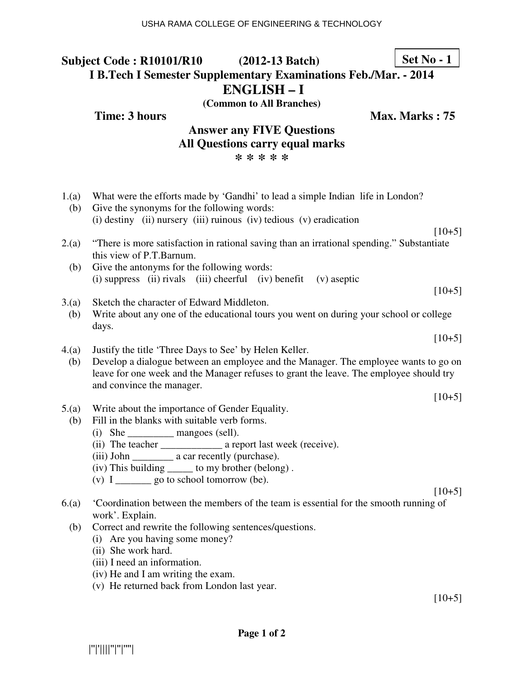#### **Subject Code : R10101/R10 (2012-13 Batch) I B.Tech I Semester Supplementary Examinations Feb./Mar. - 2014 ENGLISH – I (Common to All Branches) Set No - 1**

**Time: 3 hours** Max. Marks : 75

### **Answer any FIVE Questions All Questions carry equal marks \* \* \* \* \***

| 1.(a)<br>(b) | What were the efforts made by 'Gandhi' to lead a simple Indian life in London?<br>Give the synonyms for the following words:<br>(i) destiny (ii) nursery (iii) ruinous (iv) tedious (v) eradication |
|--------------|-----------------------------------------------------------------------------------------------------------------------------------------------------------------------------------------------------|
|              | $[10+5]$                                                                                                                                                                                            |
| 2.(a)        | "There is more satisfaction in rational saving than an irrational spending." Substantiate<br>this view of P.T.Barnum.                                                                               |
| (b)          | Give the antonyms for the following words:                                                                                                                                                          |
|              | (i) suppress (ii) rivals (iii) cheerful (iv) benefit (v) aseptic                                                                                                                                    |
|              | $[10+5]$                                                                                                                                                                                            |
| 3(a)         | Sketch the character of Edward Middleton.                                                                                                                                                           |
| (b)          | Write about any one of the educational tours you went on during your school or college<br>days.                                                                                                     |
|              | $[10+5]$                                                                                                                                                                                            |
| 4(a)         | Justify the title 'Three Days to See' by Helen Keller.                                                                                                                                              |
| (b)          | Develop a dialogue between an employee and the Manager. The employee wants to go on                                                                                                                 |
|              | leave for one week and the Manager refuses to grant the leave. The employee should try                                                                                                              |
|              | and convince the manager.                                                                                                                                                                           |
|              | $[10+5]$                                                                                                                                                                                            |
| 5.(a)        | Write about the importance of Gender Equality.                                                                                                                                                      |
| (b)          | Fill in the blanks with suitable verb forms.                                                                                                                                                        |
|              | (i) She _____________ mangoes (sell).                                                                                                                                                               |
|              |                                                                                                                                                                                                     |
|              | (iii) John _____________ a car recently (purchase).                                                                                                                                                 |
|              | (iv) This building ______ to my brother (belong).                                                                                                                                                   |
|              | (v) $I_{\text{2}}$ go to school tomorrow (be).                                                                                                                                                      |
|              | $[10+5]$                                                                                                                                                                                            |
| 6(a)         | 'Coordination between the members of the team is essential for the smooth running of                                                                                                                |
|              | work'. Explain.                                                                                                                                                                                     |
| (b)          | Correct and rewrite the following sentences/questions.                                                                                                                                              |
|              | (i) Are you having some money?                                                                                                                                                                      |
|              | (ii) She work hard.                                                                                                                                                                                 |
|              |                                                                                                                                                                                                     |
|              | (iii) I need an information.                                                                                                                                                                        |
|              | (iv) He and I am writing the exam.                                                                                                                                                                  |
|              | (v) He returned back from London last year.                                                                                                                                                         |

 $[10+5]$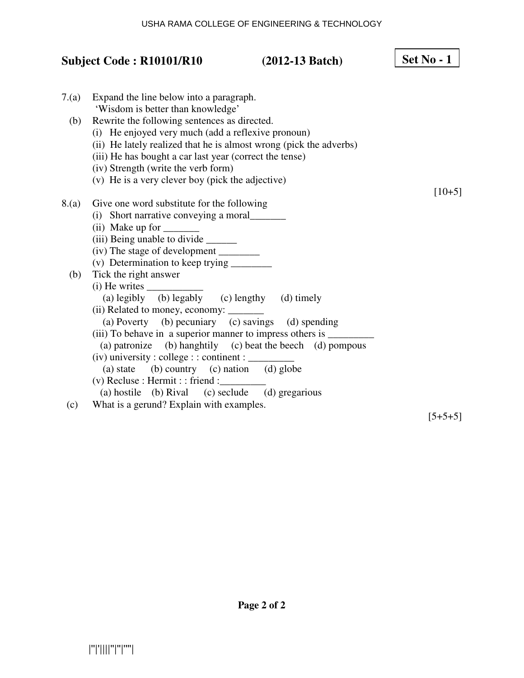## **Subject Code : R10101/R10 (2012-13 Batch)**  7.(a) Expand the line below into a paragraph. 'Wisdom is better than knowledge' (b) Rewrite the following sentences as directed. (i) He enjoyed very much (add a reflexive pronoun) (ii) He lately realized that he is almost wrong (pick the adverbs) (iii) He has bought a car last year (correct the tense) (iv) Strength (write the verb form) (v) He is a very clever boy (pick the adjective)  $[10+5]$ 8.(a) Give one word substitute for the following (i) Short narrative conveying a moral\_\_\_\_\_\_\_ (ii) Make up for (iii) Being unable to divide \_\_\_\_\_\_\_\_\_ (iv) The stage of development \_\_\_\_\_\_\_\_ (v) Determination to keep trying  $\frac{1}{\sqrt{2\pi}}$  (b) Tick the right answer  $(i)$  He writes (a) legibly (b) legably (c) lengthy (d) timely (ii) Related to money, economy: \_\_\_\_\_\_\_ (a) Poverty (b) pecuniary (c) savings (d) spending (iii) To behave in a superior manner to impress others is  $\equiv$  (a) patronize (b) hanghtily (c) beat the beech (d) pompous  $(iv)$  university : college : : continent :  $\_\_$ (a) state (b) country (c) nation (d) globe  $(v)$  Recluse : Hermit : : friend : (a) hostile (b) Rival (c) seclude (d) gregarious (c) What is a gerund? Explain with examples. **Set No - 1**

 $[5+5+5]$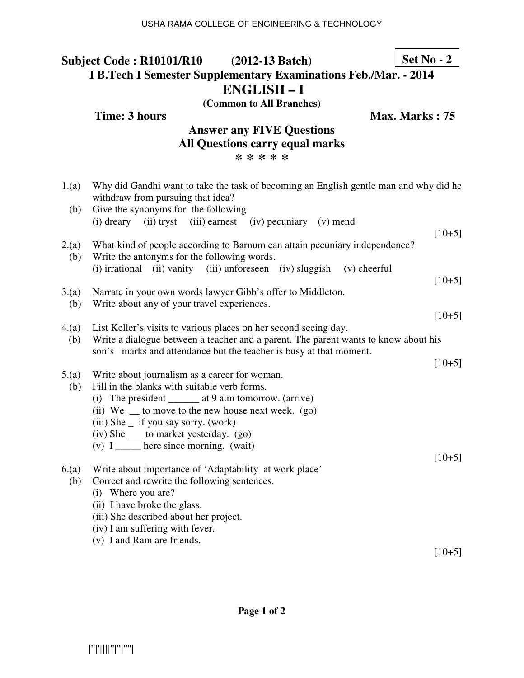#### **Subject Code : R10101/R10 (2012-13 Batch) I B.Tech I Semester Supplementary Examinations Feb./Mar. - 2014 ENGLISH – I (Common to All Branches) Set No - 2**

**Time: 3 hours** Max. Marks : 75

### **Answer any FIVE Questions All Questions carry equal marks \* \* \* \* \***

| 1.(a)        | Why did Gandhi want to take the task of becoming an English gentle man and why did he<br>withdraw from pursuing that idea?                                                                               |          |
|--------------|----------------------------------------------------------------------------------------------------------------------------------------------------------------------------------------------------------|----------|
| (b)          | Give the synonyms for the following<br>(i) dreary (ii) tryst (iii) earnest (iv) pecuniary (v) mend                                                                                                       | $[10+5]$ |
| 2.(a)<br>(b) | What kind of people according to Barnum can attain pecuniary independence?<br>Write the antonyms for the following words.<br>(i) irrational (ii) vanity (iii) unforeseen (iv) sluggish<br>$(v)$ cheerful | $[10+5]$ |
| 3.(a)<br>(b) | Narrate in your own words lawyer Gibb's offer to Middleton.<br>Write about any of your travel experiences.                                                                                               |          |
|              |                                                                                                                                                                                                          | $[10+5]$ |
| 4(a)         | List Keller's visits to various places on her second seeing day.                                                                                                                                         |          |
| (b)          | Write a dialogue between a teacher and a parent. The parent wants to know about his                                                                                                                      |          |
|              | son's marks and attendance but the teacher is busy at that moment.                                                                                                                                       | $[10+5]$ |
| 5.(a)        | Write about journalism as a career for woman.                                                                                                                                                            |          |
| (b)          | Fill in the blanks with suitable verb forms.                                                                                                                                                             |          |
|              | (i) The president _________ at 9 a.m tomorrow. (arrive)                                                                                                                                                  |          |
|              | (ii) We $\equiv$ to move to the new house next week. (go)                                                                                                                                                |          |
|              | $(iii)$ She $\_$ if you say sorry. (work)                                                                                                                                                                |          |
|              | (iv) She _____ to market yesterday. (go)                                                                                                                                                                 |          |
|              | $(v)$ I ______ here since morning. (wait)                                                                                                                                                                |          |
|              |                                                                                                                                                                                                          | $[10+5]$ |
| 6(a)         | Write about importance of 'Adaptability at work place'<br>Correct and rewrite the following sentences.                                                                                                   |          |
| (b)          | (i) Where you are?                                                                                                                                                                                       |          |
|              | (ii) I have broke the glass.                                                                                                                                                                             |          |
|              | (iii) She described about her project.                                                                                                                                                                   |          |
|              | (iv) I am suffering with fever.                                                                                                                                                                          |          |
|              | (v) I and Ram are friends.                                                                                                                                                                               |          |
|              |                                                                                                                                                                                                          | $[10+5]$ |
|              |                                                                                                                                                                                                          |          |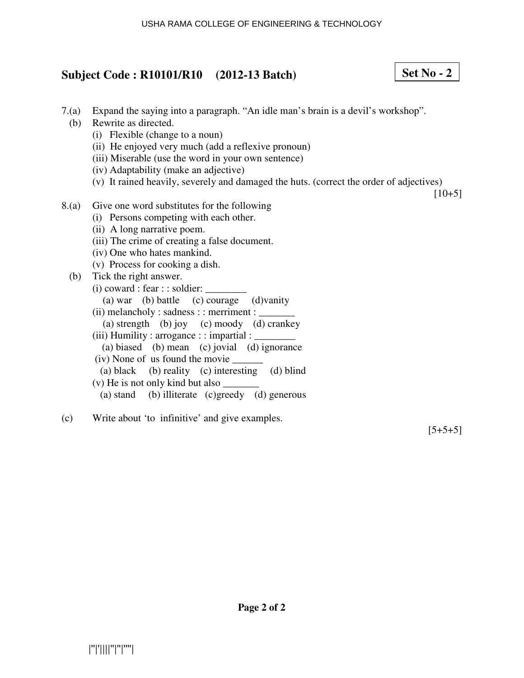# **Subject Code : R10101/R10 (2012-13 Batch)**

- 7.(a) Expand the saying into a paragraph. "An idle man's brain is a devil's workshop".
	- (b) Rewrite as directed.
		- (i) Flexible (change to a noun)
		- (ii) He enjoyed very much (add a reflexive pronoun)
		- (iii) Miserable (use the word in your own sentence)
		- (iv) Adaptability (make an adjective)
		- (v) It rained heavily, severely and damaged the huts. (correct the order of adjectives)

 $[10+5]$ 

**Set No - 2**

- 8.(a) Give one word substitutes for the following
	- (i) Persons competing with each other.
	- (ii) A long narrative poem.
	- (iii) The crime of creating a false document.
	- (iv) One who hates mankind.
	- (v) Process for cooking a dish.
	- (b) Tick the right answer.
		- $(i)$  coward : fear : : soldier:
			- (a) war (b) battle (c) courage (d)vanity
		- $(ii)$  melancholy : sadness : : merriment : (a) strength (b) joy (c) moody (d) crankey (iii) Humility : arrogance : : impartial :  $\Box$
		- (a) biased (b) mean (c) jovial (d) ignorance
		- (iv) None of us found the movie \_\_\_\_\_\_
		- (a) black (b) reality (c) interesting (d) blind
		- (v) He is not only kind but also  $\overline{\phantom{a}}$
		- (a) stand (b) illiterate (c)greedy (d) generous
- (c) Write about 'to infinitive' and give examples.

 $[5+5+5]$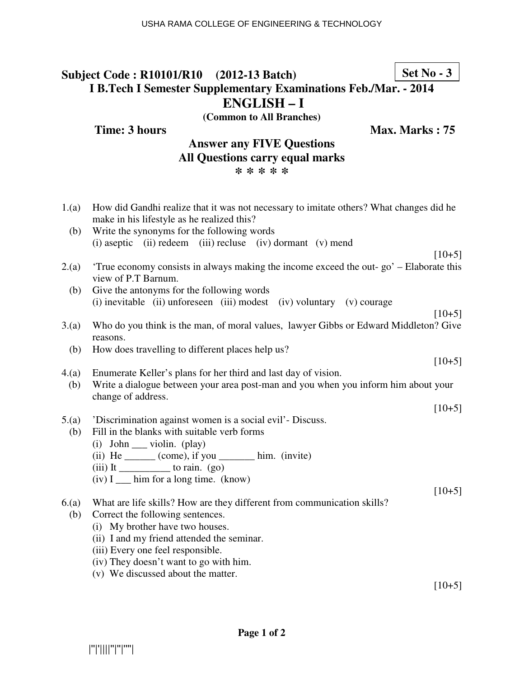# |''|'||||''|''|''''|

USHA RAMA COLLEGE OF ENGINEERING & TECHNOLOGY

#### **Subject Code : R10101/R10 (2012-13 Batch) I B.Tech I Semester Supplementary Examinations Feb./Mar. - 2014 ENGLISH – I Set No - 3**

**(Common to All Branches)**

**Answer any FIVE Questions All Questions carry equal marks \* \* \* \* \***

**Time: 3 hours Max. Marks : 75** 

## 1.(a) How did Gandhi realize that it was not necessary to imitate others? What changes did he make in his lifestyle as he realized this? (b) Write the synonyms for the following words (i) aseptic (ii) redeem (iii) recluse (iv) dormant (v) mend  $[10+5]$ 2.(a) 'True economy consists in always making the income exceed the out- go' – Elaborate this view of P.T Barnum. (b) Give the antonyms for the following words (i) inevitable (ii) unforeseen (iii) modest (iv) voluntary (v) courage  $[10+5]$ 3.(a) Who do you think is the man, of moral values, lawyer Gibbs or Edward Middleton? Give reasons.

- (b) How does travelling to different places help us?
- 4.(a) Enumerate Keller's plans for her third and last day of vision.
- (b) Write a dialogue between your area post-man and you when you inform him about your change of address.
- 5.(a) 'Discrimination against women is a social evil'- Discuss.
	- (b) Fill in the blanks with suitable verb forms
		- $(i)$  John violin.  $(\text{play})$
		- (ii)  $He$  \_\_\_\_\_\_ (come), if you \_\_\_\_\_\_\_\_ him. (invite)
		- $(iii)$  It to rain. (go)
		- (iv) I \_\_\_ him for a long time. (know)
- 6.(a) What are life skills? How are they different from communication skills?
- (b) Correct the following sentences.
	- (i) My brother have two houses.
	- (ii) I and my friend attended the seminar.
	- (iii) Every one feel responsible.
	- (iv) They doesn't want to go with him.
	- (v) We discussed about the matter.

 $[10+5]$ 

 $[10+5]$ 

 $[10+5]$ 

 $[10+5]$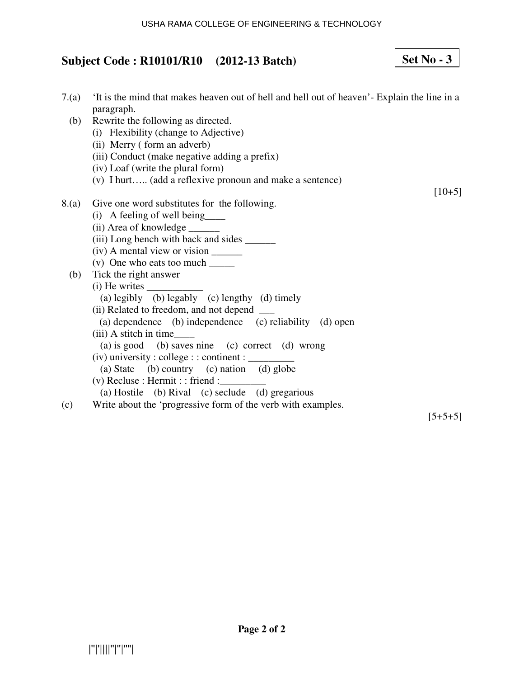#### USHA RAMA COLLEGE OF ENGINEERING & TECHNOLOGY

# **Subject Code : R10101/R10 (2012-13 Batch)**

**Set No - 3**

| 7(a)  | It is the mind that makes heaven out of hell and hell out of heaven'- Explain the line in a<br>paragraph. |          |
|-------|-----------------------------------------------------------------------------------------------------------|----------|
| (b)   | Rewrite the following as directed.                                                                        |          |
|       | (i) Flexibility (change to Adjective)                                                                     |          |
|       | (ii) Merry (form an adverb)                                                                               |          |
|       | (iii) Conduct (make negative adding a prefix)                                                             |          |
|       | (iv) Loaf (write the plural form)                                                                         |          |
|       | (v) I hurt (add a reflexive pronoun and make a sentence)                                                  |          |
|       |                                                                                                           | $[10+5]$ |
| 8.(a) | Give one word substitutes for the following.                                                              |          |
|       | (i) A feeling of well being                                                                               |          |
|       | (ii) Area of knowledge _______                                                                            |          |
|       | (iii) Long bench with back and sides _______                                                              |          |
|       | (iv) A mental view or vision _______                                                                      |          |
|       | (v) One who eats too much $\frac{ }{ }$                                                                   |          |
| (b)   | Tick the right answer                                                                                     |          |
|       | $(i)$ He writes $\_\_$                                                                                    |          |
|       | (a) legibly (b) legably (c) lengthy (d) timely                                                            |          |
|       | (ii) Related to freedom, and not depend ____                                                              |          |
|       | (a) dependence (b) independence (c) reliability (d) open                                                  |          |
|       |                                                                                                           |          |
|       | (a) is good (b) saves nine (c) correct (d) wrong                                                          |          |
|       |                                                                                                           |          |
|       | (a) State (b) country (c) nation (d) globe                                                                |          |
|       | $(v)$ Recluse : Hermit : : friend :                                                                       |          |
|       | (a) Hostile (b) Rival (c) seclude (d) gregarious                                                          |          |
| (c)   | Write about the 'progressive form of the verb with examples.                                              |          |

 $[5+5+5]$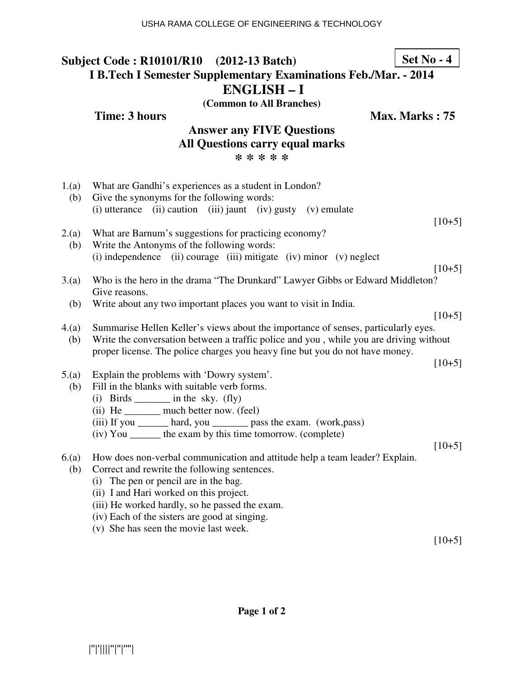#### USHA RAMA COLLEGE OF ENGINEERING & TECHNOLOGY

| Subject Code: R10101/R10 (2012-13 Batch)<br><b>I B.Tech I Semester Supplementary Examinations Feb./Mar. - 2014</b><br><b>ENGLISH-I</b> |                                                                                                     | $Set No - 4$   |
|----------------------------------------------------------------------------------------------------------------------------------------|-----------------------------------------------------------------------------------------------------|----------------|
|                                                                                                                                        | (Common to All Branches)                                                                            |                |
|                                                                                                                                        | <b>Time: 3 hours</b>                                                                                | Max. Marks: 75 |
|                                                                                                                                        | <b>Answer any FIVE Questions</b>                                                                    |                |
|                                                                                                                                        | <b>All Questions carry equal marks</b>                                                              |                |
|                                                                                                                                        | * * * * *                                                                                           |                |
|                                                                                                                                        |                                                                                                     |                |
| 1.(a)<br>(b)                                                                                                                           | What are Gandhi's experiences as a student in London?<br>Give the synonyms for the following words: |                |
|                                                                                                                                        | (i) utterance (ii) caution (iii) jaunt (iv) gusty (v) emulate                                       |                |
|                                                                                                                                        |                                                                                                     | $[10+5]$       |
| 2(a)                                                                                                                                   | What are Barnum's suggestions for practicing economy?                                               |                |
| (b)                                                                                                                                    | Write the Antonyms of the following words:                                                          |                |
|                                                                                                                                        | $(i)$ independence $(ii)$ courage $(iii)$ mitigate $(iv)$ minor $(v)$ neglect                       |                |
|                                                                                                                                        |                                                                                                     | $[10+5]$       |
| 3(a)                                                                                                                                   | Who is the hero in the drama "The Drunkard" Lawyer Gibbs or Edward Middleton?                       |                |
|                                                                                                                                        | Give reasons.                                                                                       |                |
| (b)                                                                                                                                    | Write about any two important places you want to visit in India.                                    | $[10+5]$       |
| 4(a)                                                                                                                                   | Summarise Hellen Keller's views about the importance of senses, particularly eyes.                  |                |
| (b)                                                                                                                                    | Write the conversation between a traffic police and you, while you are driving without              |                |
|                                                                                                                                        | proper license. The police charges you heavy fine but you do not have money.                        |                |
|                                                                                                                                        |                                                                                                     | $[10+5]$       |
| 5.(a)                                                                                                                                  | Explain the problems with 'Dowry system'.                                                           |                |
| (b)                                                                                                                                    | Fill in the blanks with suitable verb forms.                                                        |                |
|                                                                                                                                        | $(i)$ Birds ________ in the sky. $(fly)$                                                            |                |
|                                                                                                                                        | (ii) He ________ much better now. (feel)                                                            |                |
|                                                                                                                                        | (iii) If you ________ hard, you __________ pass the exam. (work, pass)                              |                |
|                                                                                                                                        | (iv) You _______ the exam by this time tomorrow. (complete)                                         |                |
|                                                                                                                                        |                                                                                                     | $[10+5]$       |
| 6(a)                                                                                                                                   | How does non-verbal communication and attitude help a team leader? Explain.                         |                |
| (b)                                                                                                                                    | Correct and rewrite the following sentences.                                                        |                |
|                                                                                                                                        | The pen or pencil are in the bag.<br>(i)<br>(ii) I and Hari worked on this project.                 |                |
|                                                                                                                                        | (iii) He worked hardly, so he passed the exam.                                                      |                |
|                                                                                                                                        | (iv) Each of the sisters are good at singing.                                                       |                |
|                                                                                                                                        | $\langle \cdot, \cdot \rangle$ . Clearly as a search that is a series that                          |                |

(v) She has seen the movie last week.

 $[10+5]$